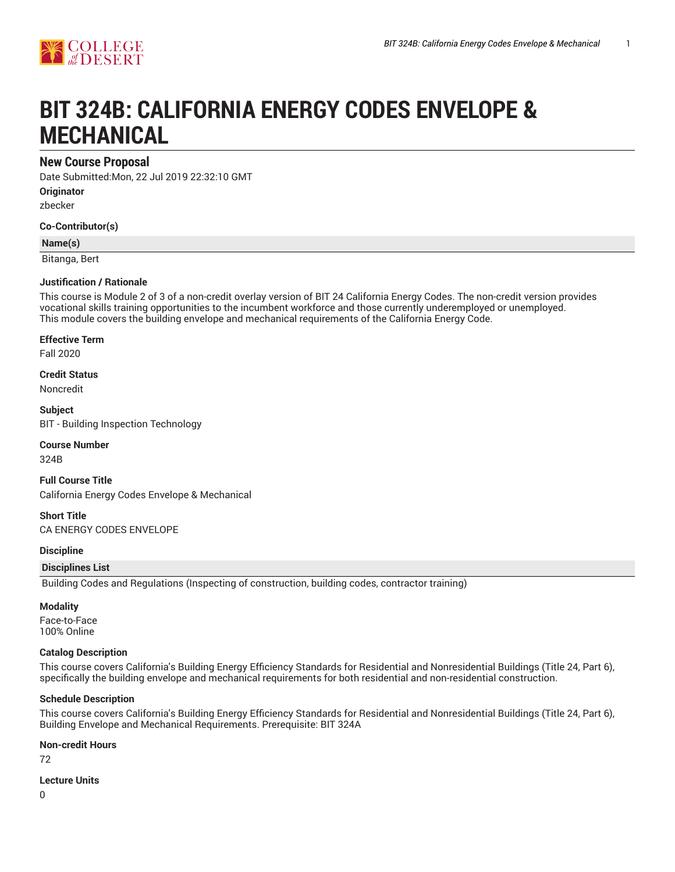

# **BIT 324B: CALIFORNIA ENERGY CODES ENVELOPE & MECHANICAL**

# **New Course Proposal**

Date Submitted:Mon, 22 Jul 2019 22:32:10 GMT

**Originator**

zbecker

**Co-Contributor(s)**

**Name(s)**

Bitanga, Bert

### **Justification / Rationale**

This course is Module 2 of 3 of a non-credit overlay version of BIT 24 California Energy Codes. The non-credit version provides vocational skills training opportunities to the incumbent workforce and those currently underemployed or unemployed. This module covers the building envelope and mechanical requirements of the California Energy Code.

**Effective Term**

Fall 2020

**Credit Status**

Noncredit

**Subject** BIT - Building Inspection Technology

### **Course Number**

324B

**Full Course Title** California Energy Codes Envelope & Mechanical

**Short Title** CA ENERGY CODES ENVELOPE

### **Discipline**

### **Disciplines List**

Building Codes and Regulations (Inspecting of construction, building codes, contractor training)

### **Modality**

Face-to-Face 100% Online

### **Catalog Description**

This course covers California's Building Energy Efficiency Standards for Residential and Nonresidential Buildings (Title 24, Part 6), specifically the building envelope and mechanical requirements for both residential and non-residential construction.

### **Schedule Description**

This course covers California's Building Energy Efficiency Standards for Residential and Nonresidential Buildings (Title 24, Part 6), Building Envelope and Mechanical Requirements. Prerequisite: BIT 324A

# **Non-credit Hours**

72

### **Lecture Units**

0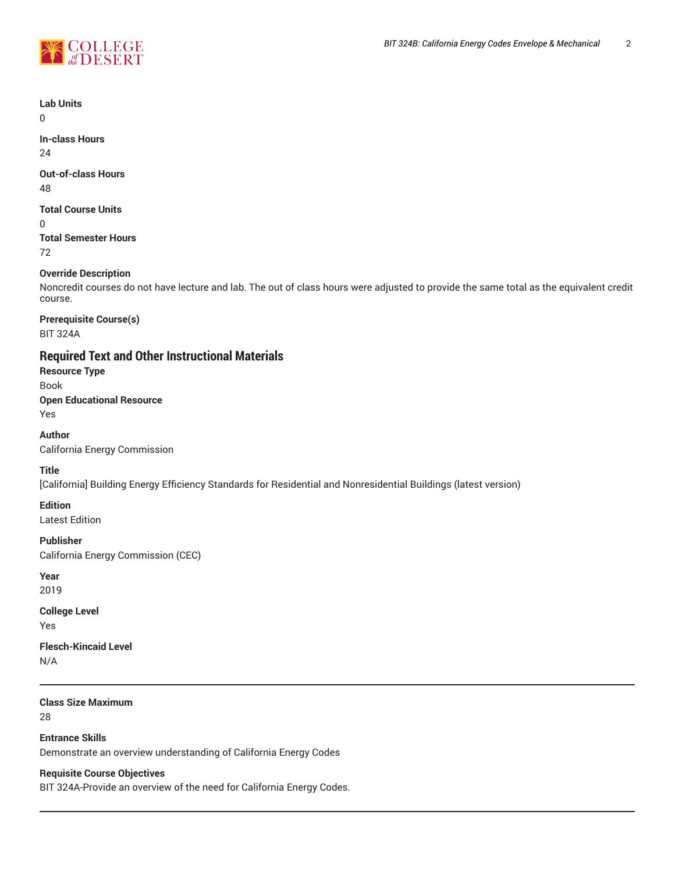



**Lab Units**

 $\Omega$ 

**In-class Hours** 24

**Out-of-class Hours**

48

**Total Course Units**

0

**Total Semester Hours** 72

# **Override Description**

Noncredit courses do not have lecture and lab. The out of class hours were adjusted to provide the same total as the equivalent credit course.

**Prerequisite Course(s)** BIT 324A

# **Required Text and Other Instructional Materials**

**Resource Type**

Book

**Open Educational Resource**

Yes

**Author**

California Energy Commission

**Title**

[California] Building Energy Efficiency Standards for Residential and Nonresidential Buildings (latest version)

**Edition**

Latest Edition

**Publisher**

California Energy Commission (CEC)

**Year**

2019

**College Level** Yes

**Flesch-Kincaid Level**

N/A

**Class Size Maximum**

28

**Entrance Skills** Demonstrate an overview understanding of California Energy Codes

**Requisite Course Objectives**

BIT 324A-Provide an overview of the need for California Energy Codes.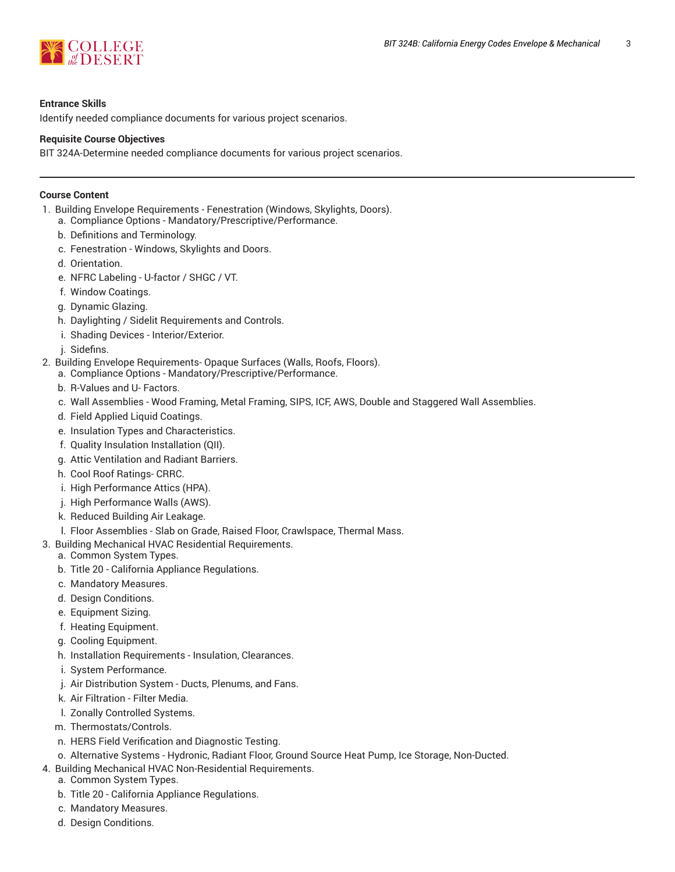

### **Entrance Skills**

Identify needed compliance documents for various project scenarios.

### **Requisite Course Objectives**

BIT 324A-Determine needed compliance documents for various project scenarios.

### **Course Content**

- 1. Building Envelope Requirements Fenestration (Windows, Skylights, Doors).
	- a. Compliance Options Mandatory/Prescriptive/Performance.
	- b. Definitions and Terminology.
	- c. Fenestration Windows, Skylights and Doors.
	- d. Orientation.
	- e. NFRC Labeling U-factor / SHGC / VT.
	- f. Window Coatings.
	- g. Dynamic Glazing.
	- h. Daylighting / Sidelit Requirements and Controls.
	- i. Shading Devices Interior/Exterior.
	- j. Sidefins.
- 2. Building Envelope Requirements- Opaque Surfaces (Walls, Roofs, Floors).
	- a. Compliance Options Mandatory/Prescriptive/Performance.
	- b. R-Values and U- Factors.
	- c. Wall Assemblies Wood Framing, Metal Framing, SIPS, ICF, AWS, Double and Staggered Wall Assemblies.
	- d. Field Applied Liquid Coatings.
	- e. Insulation Types and Characteristics.
	- f. Quality Insulation Installation (QII).
	- g. Attic Ventilation and Radiant Barriers.
	- h. Cool Roof Ratings- CRRC.
	- i. High Performance Attics (HPA).
	- j. High Performance Walls (AWS).
	- k. Reduced Building Air Leakage.
	- l. Floor Assemblies Slab on Grade, Raised Floor, Crawlspace, Thermal Mass.
- 3. Building Mechanical HVAC Residential Requirements.
	- a. Common System Types.
	- b. Title 20 California Appliance Regulations.
	- c. Mandatory Measures.
	- d. Design Conditions.
	- e. Equipment Sizing.
	- f. Heating Equipment.
	- g. Cooling Equipment.
	- h. Installation Requirements Insulation, Clearances.
	- i. System Performance.
	- j. Air Distribution System Ducts, Plenums, and Fans.
	- k. Air Filtration Filter Media.
	- l. Zonally Controlled Systems.
	- m. Thermostats/Controls.
	- n. HERS Field Verification and Diagnostic Testing.
	- o. Alternative Systems Hydronic, Radiant Floor, Ground Source Heat Pump, Ice Storage, Non-Ducted.
- 4. Building Mechanical HVAC Non-Residential Requirements.
	- a. Common System Types.
	- b. Title 20 California Appliance Regulations.
	- c. Mandatory Measures.
	- d. Design Conditions.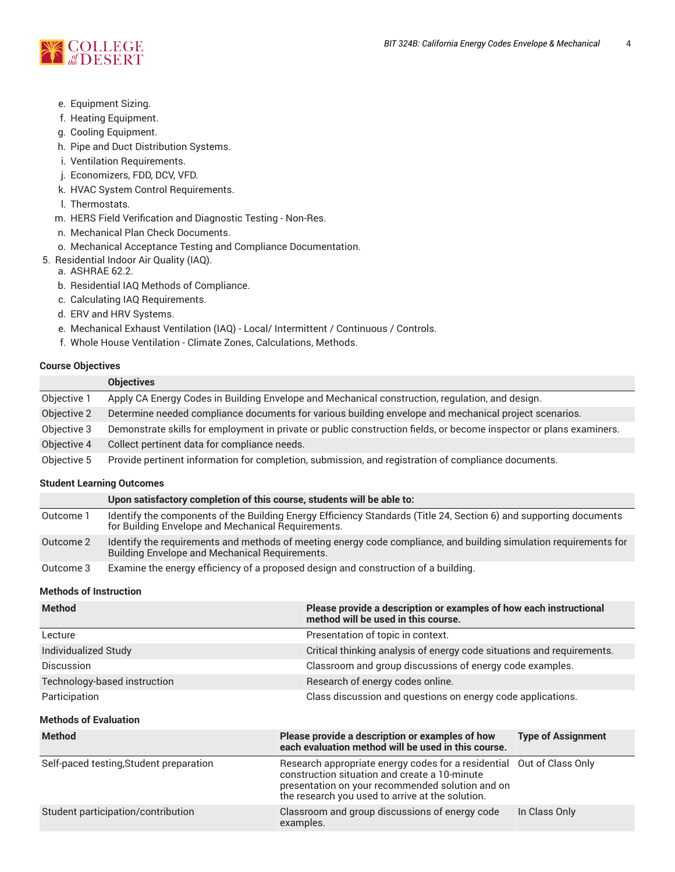

- e. Equipment Sizing.
- f. Heating Equipment.
- g. Cooling Equipment.
- h. Pipe and Duct Distribution Systems.
- i. Ventilation Requirements.
- j. Economizers, FDD, DCV, VFD.
- k. HVAC System Control Requirements.
- l. Thermostats.
- m. HERS Field Verification and Diagnostic Testing Non-Res.
- n. Mechanical Plan Check Documents.
- o. Mechanical Acceptance Testing and Compliance Documentation.
- 5. Residential Indoor Air Quality (IAQ).
	- a. ASHRAE 62.2.
	- b. Residential IAQ Methods of Compliance.
	- c. Calculating IAQ Requirements.
	- d. ERV and HRV Systems.
	- e. Mechanical Exhaust Ventilation (IAQ) Local/ Intermittent / Continuous / Controls.
	- f. Whole House Ventilation Climate Zones, Calculations, Methods.

# **Course Objectives**

|             | <b>Objectives</b>                                                                                                   |
|-------------|---------------------------------------------------------------------------------------------------------------------|
| Objective 1 | Apply CA Energy Codes in Building Envelope and Mechanical construction, regulation, and design.                     |
| Objective 2 | Determine needed compliance documents for various building envelope and mechanical project scenarios.               |
| Objective 3 | Demonstrate skills for employment in private or public construction fields, or become inspector or plans examiners. |
| Objective 4 | Collect pertinent data for compliance needs.                                                                        |
| Objective 5 | Provide pertinent information for completion, submission, and registration of compliance documents.                 |

# **Student Learning Outcomes**

|           | Upon satisfactory completion of this course, students will be able to:                                                                                                     |
|-----------|----------------------------------------------------------------------------------------------------------------------------------------------------------------------------|
| Outcome 1 | Identify the components of the Building Energy Efficiency Standards (Title 24, Section 6) and supporting documents<br>for Building Envelope and Mechanical Requirements.   |
| Outcome 2 | Identify the requirements and methods of meeting energy code compliance, and building simulation requirements for<br><b>Building Envelope and Mechanical Requirements.</b> |
| Outcome 3 | Examine the energy efficiency of a proposed design and construction of a building.                                                                                         |

# **Methods of Instruction**

| <b>Method</b>                | Please provide a description or examples of how each instructional<br>method will be used in this course. |
|------------------------------|-----------------------------------------------------------------------------------------------------------|
| Lecture                      | Presentation of topic in context.                                                                         |
| Individualized Study         | Critical thinking analysis of energy code situations and requirements.                                    |
| <b>Discussion</b>            | Classroom and group discussions of energy code examples.                                                  |
| Technology-based instruction | Research of energy codes online.                                                                          |
| Participation                | Class discussion and questions on energy code applications.                                               |

# **Methods of Evaluation**

| <b>Method</b>                           | Please provide a description or examples of how<br>each evaluation method will be used in this course.                                                                                                                         | <b>Type of Assignment</b> |
|-----------------------------------------|--------------------------------------------------------------------------------------------------------------------------------------------------------------------------------------------------------------------------------|---------------------------|
| Self-paced testing, Student preparation | Research appropriate energy codes for a residential Out of Class Only<br>construction situation and create a 10-minute<br>presentation on your recommended solution and on<br>the research you used to arrive at the solution. |                           |
| Student participation/contribution      | Classroom and group discussions of energy code<br>examples.                                                                                                                                                                    | In Class Only             |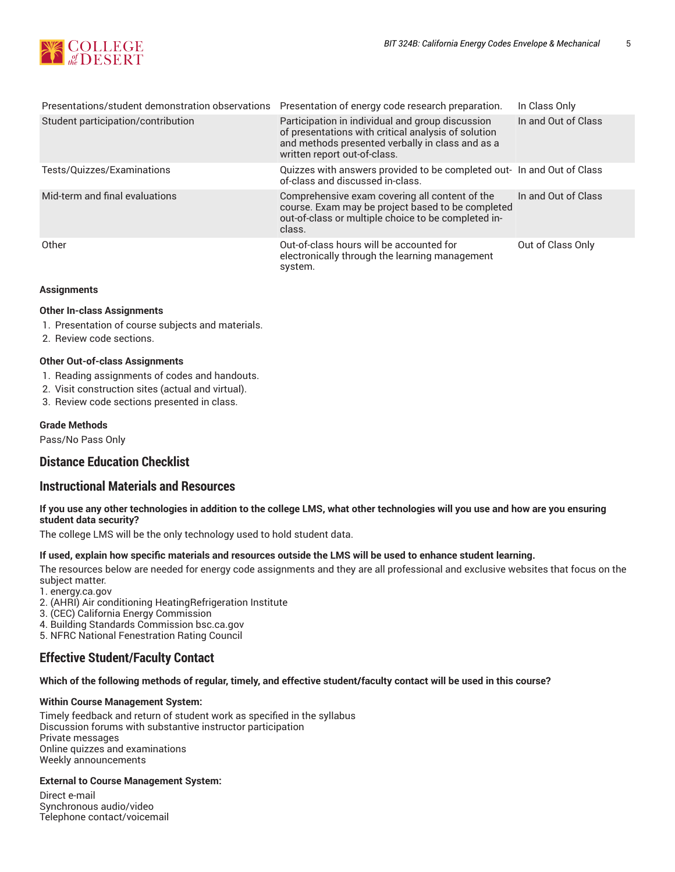

| Presentations/student demonstration observations | Presentation of energy code research preparation.                                                                                                                                           | In Class Only       |
|--------------------------------------------------|---------------------------------------------------------------------------------------------------------------------------------------------------------------------------------------------|---------------------|
| Student participation/contribution               | Participation in individual and group discussion<br>of presentations with critical analysis of solution<br>and methods presented verbally in class and as a<br>written report out-of-class. | In and Out of Class |
| Tests/Quizzes/Examinations                       | Quizzes with answers provided to be completed out- In and Out of Class<br>of-class and discussed in-class.                                                                                  |                     |
| Mid-term and final evaluations                   | Comprehensive exam covering all content of the<br>course. Exam may be project based to be completed<br>out-of-class or multiple choice to be completed in-<br>class.                        | In and Out of Class |
| Other                                            | Out-of-class hours will be accounted for<br>electronically through the learning management<br>system.                                                                                       | Out of Class Only   |

### **Assignments**

### **Other In-class Assignments**

- 1. Presentation of course subjects and materials.
- 2. Review code sections.

### **Other Out-of-class Assignments**

- 1. Reading assignments of codes and handouts.
- 2. Visit construction sites (actual and virtual).
- 3. Review code sections presented in class.

### **Grade Methods**

Pass/No Pass Only

# **Distance Education Checklist**

# **Instructional Materials and Resources**

### If you use any other technologies in addition to the college LMS, what other technologies will you use and how are you ensuring **student data security?**

The college LMS will be the only technology used to hold student data.

#### **If used, explain how specific materials and resources outside the LMS will be used to enhance student learning.**

The resources below are needed for energy code assignments and they are all professional and exclusive websites that focus on the subject matter.

- 1. energy.ca.gov
- 2. (AHRI) Air conditioning HeatingRefrigeration Institute
- 3. (CEC) California Energy Commission
- 4. Building Standards Commission bsc.ca.gov

5. NFRC National Fenestration Rating Council

# **Effective Student/Faculty Contact**

### Which of the following methods of regular, timely, and effective student/faculty contact will be used in this course?

#### **Within Course Management System:**

Timely feedback and return of student work as specified in the syllabus Discussion forums with substantive instructor participation Private messages Online quizzes and examinations Weekly announcements

### **External to Course Management System:**

Direct e-mail Synchronous audio/video Telephone contact/voicemail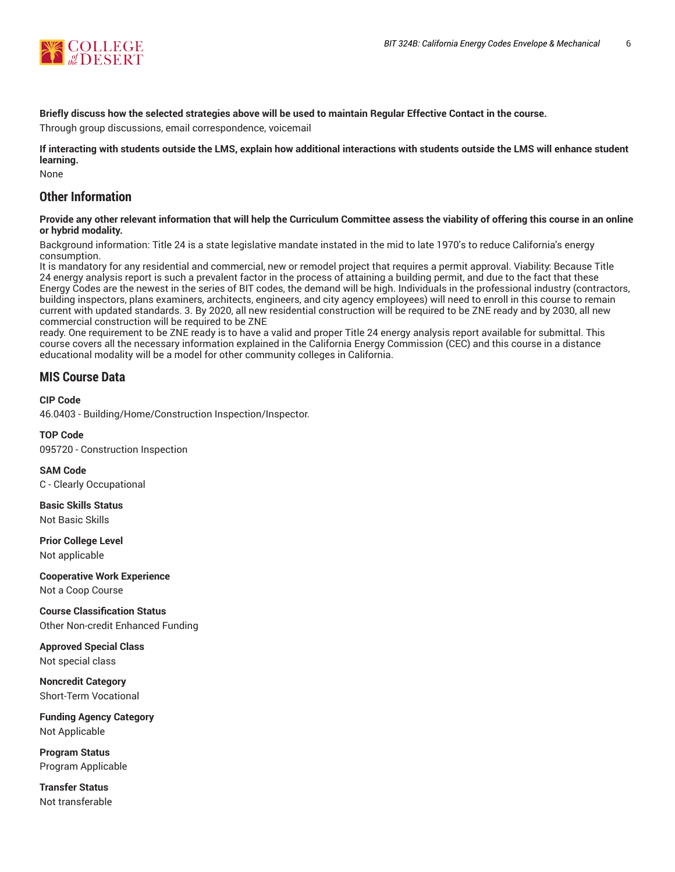

# Briefly discuss how the selected strategies above will be used to maintain Regular Effective Contact in the course.

Through group discussions, email correspondence, voicemail

**If interacting with students outside the LMS, explain how additional interactions with students outside the LMS will enhance student learning.**

None

# **Other Information**

### Provide any other relevant information that will help the Curriculum Committee assess the viability of offering this course in an online **or hybrid modality.**

Background information: Title 24 is a state legislative mandate instated in the mid to late 1970's to reduce California's energy consumption.

It is mandatory for any residential and commercial, new or remodel project that requires a permit approval. Viability: Because Title 24 energy analysis report is such a prevalent factor in the process of attaining a building permit, and due to the fact that these Energy Codes are the newest in the series of BIT codes, the demand will be high. Individuals in the professional industry (contractors, building inspectors, plans examiners, architects, engineers, and city agency employees) will need to enroll in this course to remain current with updated standards. 3. By 2020, all new residential construction will be required to be ZNE ready and by 2030, all new commercial construction will be required to be ZNE

ready. One requirement to be ZNE ready is to have a valid and proper Title 24 energy analysis report available for submittal. This course covers all the necessary information explained in the California Energy Commission (CEC) and this course in a distance educational modality will be a model for other community colleges in California.

# **MIS Course Data**

### **CIP Code**

46.0403 - Building/Home/Construction Inspection/Inspector.

**TOP Code** 095720 - Construction Inspection

**SAM Code** C - Clearly Occupational

**Basic Skills Status** Not Basic Skills

**Prior College Level** Not applicable

**Cooperative Work Experience** Not a Coop Course

**Course Classification Status** Other Non-credit Enhanced Funding

**Approved Special Class** Not special class

**Noncredit Category** Short-Term Vocational

**Funding Agency Category** Not Applicable

**Program Status** Program Applicable

**Transfer Status** Not transferable